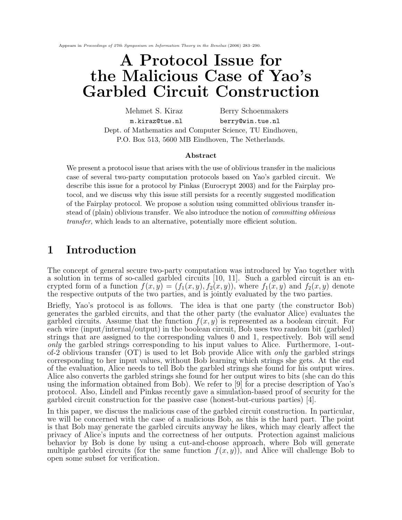Appears in Proceedings of 27th Symposium on Information Theory in the Benelux (2006) 283–290.

# A Protocol Issue for the Malicious Case of Yao's Garbled Circuit Construction

Mehmet S. Kiraz Berry Schoenmakers m.kiraz@tue.nl berry@win.tue.nl Dept. of Mathematics and Computer Science, TU Eindhoven, P.O. Box 513, 5600 MB Eindhoven, The Netherlands.

#### Abstract

We present a protocol issue that arises with the use of oblivious transfer in the malicious case of several two-party computation protocols based on Yao's garbled circuit. We describe this issue for a protocol by Pinkas (Eurocrypt 2003) and for the Fairplay protocol, and we discuss why this issue still persists for a recently suggested modification of the Fairplay protocol. We propose a solution using committed oblivious transfer instead of (plain) oblivious transfer. We also introduce the notion of committing oblivious transfer, which leads to an alternative, potentially more efficient solution.

## 1 Introduction

The concept of general secure two-party computation was introduced by Yao together with a solution in terms of so-called garbled circuits [10, 11]. Such a garbled circuit is an encrypted form of a function  $f(x, y) = (f_1(x, y), f_2(x, y))$ , where  $f_1(x, y)$  and  $f_2(x, y)$  denote the respective outputs of the two parties, and is jointly evaluated by the two parties.

Briefly, Yao's protocol is as follows. The idea is that one party (the constructor Bob) generates the garbled circuits, and that the other party (the evaluator Alice) evaluates the garbled circuits. Assume that the function  $f(x, y)$  is represented as a boolean circuit. For each wire (input/internal/output) in the boolean circuit, Bob uses two random bit (garbled) strings that are assigned to the corresponding values 0 and 1, respectively. Bob will send only the garbled strings corresponding to his input values to Alice. Furthermore, 1-outof-2 oblivious transfer  $(OT)$  is used to let Bob provide Alice with *only* the garbled strings corresponding to her input values, without Bob learning which strings she gets. At the end of the evaluation, Alice needs to tell Bob the garbled strings she found for his output wires. Alice also converts the garbled strings she found for her output wires to bits (she can do this using the information obtained from Bob). We refer to [9] for a precise description of Yao's protocol. Also, Lindell and Pinkas recently gave a simulation-based proof of security for the garbled circuit construction for the passive case (honest-but-curious parties) [4].

In this paper, we discuss the malicious case of the garbled circuit construction. In particular, we will be concerned with the case of a malicious Bob, as this is the hard part. The point is that Bob may generate the garbled circuits anyway he likes, which may clearly affect the privacy of Alice's inputs and the correctness of her outputs. Protection against malicious behavior by Bob is done by using a cut-and-choose approach, where Bob will generate multiple garbled circuits (for the same function  $f(x, y)$ ), and Alice will challenge Bob to open some subset for verification.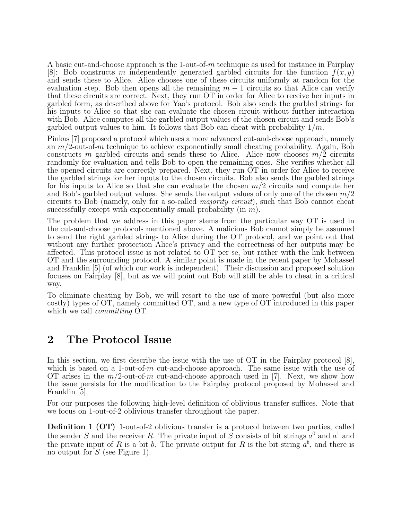A basic cut-and-choose approach is the 1-out-of-m technique as used for instance in Fairplay [8]: Bob constructs m independently generated garbled circuits for the function  $f(x, y)$ and sends these to Alice. Alice chooses one of these circuits uniformly at random for the evaluation step. Bob then opens all the remaining  $m-1$  circuits so that Alice can verify that these circuits are correct. Next, they run OT in order for Alice to receive her inputs in garbled form, as described above for Yao's protocol. Bob also sends the garbled strings for his inputs to Alice so that she can evaluate the chosen circuit without further interaction with Bob. Alice computes all the garbled output values of the chosen circuit and sends Bob's garbled output values to him. It follows that Bob can cheat with probability  $1/m$ .

Pinkas [7] proposed a protocol which uses a more advanced cut-and-choose approach, namely an  $m/2$ -out-of-m technique to achieve exponentially small cheating probability. Again, Bob constructs m garbled circuits and sends these to Alice. Alice now chooses  $m/2$  circuits randomly for evaluation and tells Bob to open the remaining ones. She verifies whether all the opened circuits are correctly prepared. Next, they run OT in order for Alice to receive the garbled strings for her inputs to the chosen circuits. Bob also sends the garbled strings for his inputs to Alice so that she can evaluate the chosen  $m/2$  circuits and compute her and Bob's garbled output values. She sends the output values of only one of the chosen  $m/2$ circuits to Bob (namely, only for a so-called majority circuit), such that Bob cannot cheat successfully except with exponentially small probability (in  $m$ ).

The problem that we address in this paper stems from the particular way OT is used in the cut-and-choose protocols mentioned above. A malicious Bob cannot simply be assumed to send the right garbled strings to Alice during the OT protocol, and we point out that without any further protection Alice's privacy and the correctness of her outputs may be affected. This protocol issue is not related to OT per se, but rather with the link between OT and the surrounding protocol. A similar point is made in the recent paper by Mohassel and Franklin [5] (of which our work is independent). Their discussion and proposed solution focuses on Fairplay [8], but as we will point out Bob will still be able to cheat in a critical way.

To eliminate cheating by Bob, we will resort to the use of more powerful (but also more costly) types of OT, namely committed OT, and a new type of OT introduced in this paper which we call *committing* OT.

## 2 The Protocol Issue

In this section, we first describe the issue with the use of OT in the Fairplay protocol [8], which is based on a 1-out-of-m cut-and-choose approach. The same issue with the use of OT arises in the  $m/2$ -out-of-m cut-and-choose approach used in [7]. Next, we show how the issue persists for the modification to the Fairplay protocol proposed by Mohassel and Franklin [5].

For our purposes the following high-level definition of oblivious transfer suffices. Note that we focus on 1-out-of-2 oblivious transfer throughout the paper.

Definition 1 (OT) 1-out-of-2 oblivious transfer is a protocol between two parties, called the sender S and the receiver R. The private input of S consists of bit strings  $a^0$  and  $a^1$  and the private input of R is a bit b. The private output for R is the bit string  $a^b$ , and there is no output for S (see Figure 1).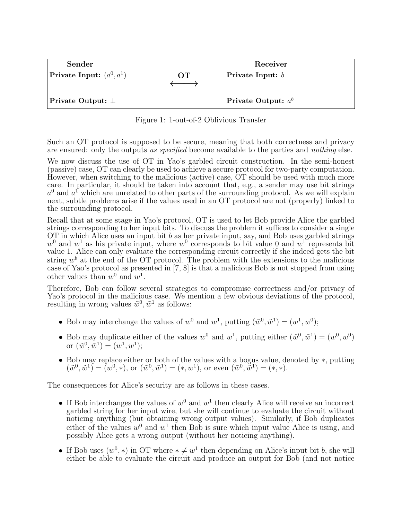| Sender                             |          | Receiver              |  |  |
|------------------------------------|----------|-----------------------|--|--|
| <b>Private Input:</b> $(a^0, a^1)$ | $\Omega$ | Private Input: $b$    |  |  |
| Private Output: $\perp$            |          | Private Output: $a^b$ |  |  |

Figure 1: 1-out-of-2 Oblivious Transfer

Such an OT protocol is supposed to be secure, meaning that both correctness and privacy are ensured: only the outputs as specified become available to the parties and nothing else.

We now discuss the use of OT in Yao's garbled circuit construction. In the semi-honest (passive) case, OT can clearly be used to achieve a secure protocol for two-party computation. However, when switching to the malicious (active) case, OT should be used with much more care. In particular, it should be taken into account that, e.g., a sender may use bit strings  $a^0$  and  $a^1$  which are unrelated to other parts of the surrounding protocol. As we will explain next, subtle problems arise if the values used in an OT protocol are not (properly) linked to the surrounding protocol.

Recall that at some stage in Yao's protocol, OT is used to let Bob provide Alice the garbled strings corresponding to her input bits. To discuss the problem it suffices to consider a single OT in which Alice uses an input bit  $b$  as her private input, say, and Bob uses garbled strings  $w<sup>0</sup>$  and  $w<sup>1</sup>$  as his private input, where  $w<sup>0</sup>$  corresponds to bit value 0 and  $w<sup>1</sup>$  represents bit value 1. Alice can only evaluate the corresponding circuit correctly if she indeed gets the bit string  $w^b$  at the end of the OT protocol. The problem with the extensions to the malicious case of Yao's protocol as presented in [7, 8] is that a malicious Bob is not stopped from using other values than  $w^0$  and  $w^1$ .

Therefore, Bob can follow several strategies to compromise correctness and/or privacy of Yao's protocol in the malicious case. We mention a few obvious deviations of the protocol, resulting in wrong values  $\tilde{w}^0, \tilde{w}^1$  as follows:

- Bob may interchange the values of  $w^0$  and  $w^1$ , putting  $(\tilde{w}^0, \tilde{w}^1) = (w^1, w^0);$
- Bob may duplicate either of the values  $w^0$  and  $w^1$ , putting either  $(\tilde{w}^0, \tilde{w}^1) = (w^0, w^0)$ or  $(\tilde{w}^0, \tilde{w}^1) = (w^1, w^1);$
- Bob may replace either or both of the values with a bogus value, denoted by ∗, putting  $(\tilde{w}^0, \tilde{w}^1) = (w^0, *)$ , or  $(\tilde{w}^0, \tilde{w}^1) = (*, w^1)$ , or even  $(\tilde{w}^0, \tilde{w}^1) = (*, *)$ .

The consequences for Alice's security are as follows in these cases.

- If Bob interchanges the values of  $w^0$  and  $w^1$  then clearly Alice will receive an incorrect garbled string for her input wire, but she will continue to evaluate the circuit without noticing anything (but obtaining wrong output values). Similarly, if Bob duplicates either of the values  $w^0$  and  $w^1$  then Bob is sure which input value Alice is using, and possibly Alice gets a wrong output (without her noticing anything).
- If Bob uses  $(w^0, *)$  in OT where  $*\neq w^1$  then depending on Alice's input bit b, she will either be able to evaluate the circuit and produce an output for Bob (and not notice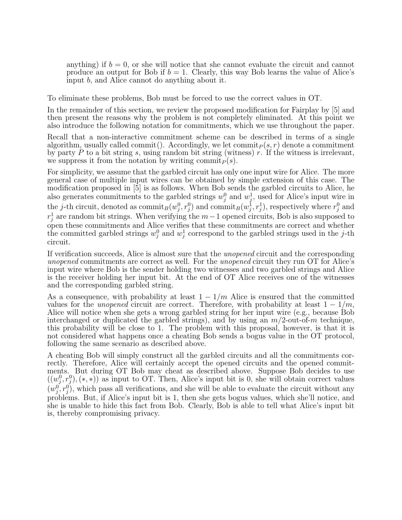anything) if  $b = 0$ , or she will notice that she cannot evaluate the circuit and cannot produce an output for Bob if  $b = 1$ . Clearly, this way Bob learns the value of Alice's input b, and Alice cannot do anything about it.

To eliminate these problems, Bob must be forced to use the correct values in OT.

In the remainder of this section, we review the proposed modification for Fairplay by [5] and then present the reasons why the problem is not completely eliminated. At this point we also introduce the following notation for commitments, which we use throughout the paper.

Recall that a non-interactive commitment scheme can be described in terms of a single algorithm, usually called commit(). Accordingly, we let commit  $p(s, r)$  denote a commitment by party  $P$  to a bit string s, using random bit string (witness)  $r$ . If the witness is irrelevant, we suppress it from the notation by writing commit $_P(s)$ .

For simplicity, we assume that the garbled circuit has only one input wire for Alice. The more general case of multiple input wires can be obtained by simple extension of this case. The modification proposed in [5] is as follows. When Bob sends the garbled circuits to Alice, he also generates commitments to the garbled strings  $w_i^0$  and  $w_i^1$ , used for Alice's input wire in  $_j$  and  $w_j$ the *j*-th circuit, denoted as  $\text{commit}_B(w_j^0, r_j^0)$  and  $\text{commit}_B(w_j^1, r_j^1)$ , respectively where  $r_j^0$  and  $r_j^1$  are random bit strings. When verifying the  $m-1$  opened circuits, Bob is also supposed to open these commitments and Alice verifies that these commitments are correct and whether the committed garbled strings  $w_j^0$  and  $w_j^1$  correspond to the garbled strings used in the j-th circuit.

If verification succeeds, Alice is almost sure that the unopened circuit and the corresponding unopened commitments are correct as well. For the unopened circuit they run OT for Alice's input wire where Bob is the sender holding two witnesses and two garbled strings and Alice is the receiver holding her input bit. At the end of OT Alice receives one of the witnesses and the corresponding garbled string.

As a consequence, with probability at least  $1 - 1/m$  Alice is ensured that the committed values for the *unopened* circuit are correct. Therefore, with probability at least  $1 - 1/m$ , Alice will notice when she gets a wrong garbled string for her input wire (e.g., because Bob interchanged or duplicated the garbled strings), and by using an  $m/2$ -out-of-m technique, this probability will be close to 1. The problem with this proposal, however, is that it is not considered what happens once a cheating Bob sends a bogus value in the OT protocol, following the same scenario as described above.

A cheating Bob will simply construct all the garbled circuits and all the commitments correctly. Therefore, Alice will certainly accept the opened circuits and the opened commitments. But during OT Bob may cheat as described above. Suppose Bob decides to use  $((w_j^0, r_j^0), (*, *)$  as input to OT. Then, Alice's input bit is 0, she will obtain correct values  $(w_j^0, r_j^0)$ , which pass all verifications, and she will be able to evaluate the circuit without any problems. But, if Alice's input bit is 1, then she gets bogus values, which she'll notice, and she is unable to hide this fact from Bob. Clearly, Bob is able to tell what Alice's input bit is, thereby compromising privacy.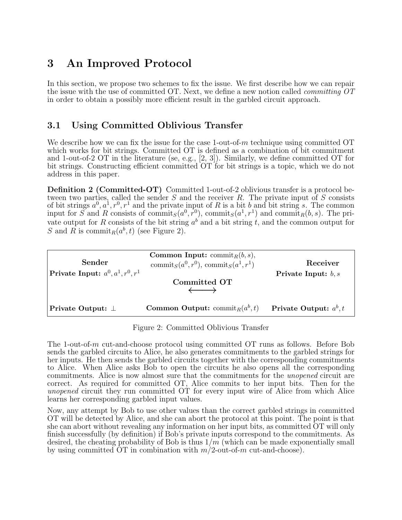## 3 An Improved Protocol

In this section, we propose two schemes to fix the issue. We first describe how we can repair the issue with the use of committed OT. Next, we define a new notion called *committing OT* in order to obtain a possibly more efficient result in the garbled circuit approach.

### 3.1 Using Committed Oblivious Transfer

We describe how we can fix the issue for the case 1-out-of- $m$  technique using committed OT which works for bit strings. Committed OT is defined as a combination of bit commitment and 1-out-of-2 OT in the literature (se, e.g., [2, 3]). Similarly, we define committed OT for bit strings. Constructing efficient committed OT for bit strings is a topic, which we do not address in this paper.

Definition 2 (Committed-OT) Committed 1-out-of-2 oblivious transfer is a protocol between two parties, called the sender  $S$  and the receiver  $R$ . The private input of  $S$  consists of bit strings  $a^0, a^1, r^0, r^1$  and the private input of R is a bit b and bit string s. The common input for  $\widetilde{S}$  and R consists of commit<sub> $S$ </sub>( $a^0$ ,  $r^0$ ), commit<sub> $S$ </sub>( $a^1$ ,  $r^1$ ) and commit<sub>R</sub>( $b$ ,  $s$ ). The private output for R consists of the bit string  $a^b$  and a bit string t, and the common output for S and R is commit<sub>R</sub> $(a^b, t)$  (see Figure 2).

| Sender<br><b>Private Input:</b> $a^0, a^1, r^0, r^1$ | <b>Common Input:</b> commit <sub><math>R</math></sub> $(b, s)$ ,<br>commit <sub>S</sub> $(a^0, r^0)$ , commit <sub>S</sub> $(a^1, r^1)$<br>Committed OT | Receiver<br>Private Input: $b, s$ |
|------------------------------------------------------|---------------------------------------------------------------------------------------------------------------------------------------------------------|-----------------------------------|
| Private Output: $\perp$                              | <b>Common Output:</b> commit <sub>R</sub> $(a^b, t)$                                                                                                    | Private Output: $a^b, t$          |

Figure 2: Committed Oblivious Transfer

The 1-out-of-m cut-and-choose protocol using committed OT runs as follows. Before Bob sends the garbled circuits to Alice, he also generates commitments to the garbled strings for her inputs. He then sends the garbled circuits together with the corresponding commitments to Alice. When Alice asks Bob to open the circuits he also opens all the corresponding commitments. Alice is now almost sure that the commitments for the unopened circuit are correct. As required for committed OT, Alice commits to her input bits. Then for the unopened circuit they run committed OT for every input wire of Alice from which Alice learns her corresponding garbled input values.

Now, any attempt by Bob to use other values than the correct garbled strings in committed OT will be detected by Alice, and she can abort the protocol at this point. The point is that she can abort without revealing any information on her input bits, as committed OT will only finish successfully (by definition) if Bob's private inputs correspond to the commitments. As desired, the cheating probability of Bob is thus  $1/m$  (which can be made exponentially small by using committed  $\overline{OT}$  in combination with  $m/2$ -out-of-m cut-and-choose).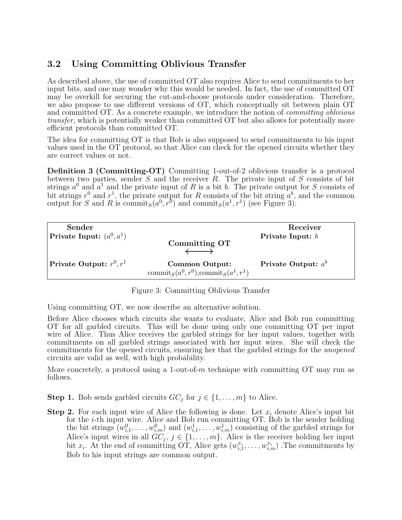## 3.2 Using Committing Oblivious Transfer

As described above, the use of committed OT also requires Alice to send commitments to her input bits, and one may wonder why this would be needed. In fact, the use of committed OT may be overkill for securing the cut-and-choose protocols under consideration. Therefore, we also propose to use different versions of OT, which conceptually sit between plain OT and committed OT. As a concrete example, we introduce the notion of *committing oblivious* transfer, which is potentially weaker than committed OT but also allows for potentially more efficient protocols than committed OT.

The idea for committing OT is that Bob is also supposed to send commitments to his input values used in the OT protocol, so that Alice can check for the opened circuits whether they are correct values or not.

Definition 3 (Committing-OT) Committing 1-out-of-2 oblivious transfer is a protocol between two parties, sender  $S$  and the receiver  $R$ . The private input of  $S$  consists of bit strings  $a^0$  and  $a^1$  and the private input of R is a bit b. The private output for S consists of bit strings  $r^0$  and  $r^1$ , the private output for R consists of the bit string  $a^b$ , and the common output for S and R is commit<sub>S</sub> $(a^0, r^0)$  and commit<sub>S</sub> $(a^1, r^1)$  (see Figure 3).

| Sender                             |                                                                     | Receiver              |
|------------------------------------|---------------------------------------------------------------------|-----------------------|
| <b>Private Input:</b> $(a^0, a^1)$ |                                                                     | Private Input: $b$    |
|                                    | Committing OT                                                       |                       |
|                                    |                                                                     |                       |
| Private Output: $r^0, r^1$         | Common Output:                                                      | Private Output: $a^b$ |
|                                    | commit <sub>S</sub> $(a^0, r^0)$ , commit <sub>S</sub> $(a^1, r^1)$ |                       |

Figure 3: Committing Oblivious Transfer

Using committing OT, we now describe an alternative solution.

Before Alice chooses which circuits she wants to evaluate, Alice and Bob run committing OT for all garbled circuits. This will be done using only one committing OT per input wire of Alice. Thus Alice receives the garbled strings for her input values, together with commitments on all garbled strings associated with her input wires. She will check the commitments for the opened circuits, ensuring her that the garbled strings for the unopened circuits are valid as well, with high probability.

More concretely, a protocol using a 1-out-of- $m$  technique with committing OT may run as follows.

**Step 1.** Bob sends garbled circuits  $GC_j$  for  $j \in \{1, ..., m\}$  to Alice.

**Step 2.** For each input wire of Alice the following is done. Let  $x_i$  denote Alice's input bit for the i-th input wire. Alice and Bob run committing OT. Bob is the sender holding the bit strings  $(w_{i,1}^0, \ldots, w_{i,m}^0)$  and  $(w_{i,1}^1, \ldots, w_{i,m}^1)$  consisting of the garbled strings for Alice's input wires in all  $GC_j$ ,  $j \in \{1, \ldots, m\}$ . Alice is the receiver holding her input bit  $x_i$ . At the end of committing OT, Alice gets  $(w_{i,1}^{x_i}, \ldots, w_{i,m}^{x_i})$ . The commitments by Bob to his input strings are common output.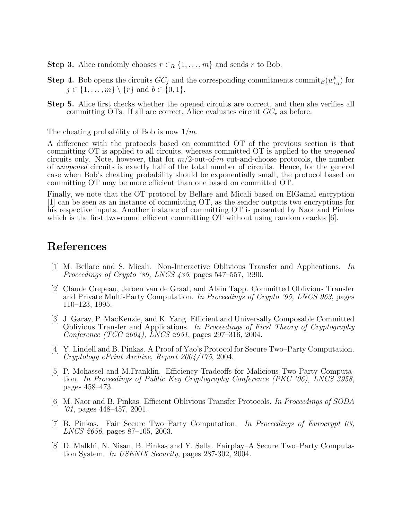- **Step 3.** Alice randomly chooses  $r \in_R \{1, \ldots, m\}$  and sends r to Bob.
- **Step 4.** Bob opens the circuits  $GC_j$  and the corresponding commitments commit<sub>B</sub> $(w_{i,j}^b)$  for  $j \in \{1, ..., m\} \setminus \{r\}$  and  $b \in \{0, 1\}.$
- Step 5. Alice first checks whether the opened circuits are correct, and then she verifies all committing OTs. If all are correct, Alice evaluates circuit  $GC_r$  as before.

The cheating probability of Bob is now  $1/m$ .

A difference with the protocols based on committed OT of the previous section is that committing OT is applied to all circuits, whereas committed OT is applied to the unopened circuits only. Note, however, that for  $m/2$ -out-of-m cut-and-choose protocols, the number of unopened circuits is exactly half of the total number of circuits. Hence, for the general case when Bob's cheating probability should be exponentially small, the protocol based on committing OT may be more efficient than one based on committed OT.

Finally, we note that the OT protocol by Bellare and Micali based on ElGamal encryption [1] can be seen as an instance of committing OT, as the sender outputs two encryptions for his respective inputs. Another instance of committing OT is presented by Naor and Pinkas which is the first two-round efficient committing OT without using random oracles [6].

## References

- [1] M. Bellare and S. Micali. Non-Interactive Oblivious Transfer and Applications. In Proceedings of Crypto '89, LNCS 435, pages 547–557, 1990.
- [2] Claude Crepeau, Jeroen van de Graaf, and Alain Tapp. Committed Oblivious Transfer and Private Multi-Party Computation. In Proceedings of Crypto '95, LNCS 963, pages 110–123, 1995.
- [3] J. Garay, P. MacKenzie, and K. Yang. Efficient and Universally Composable Committed Oblivious Transfer and Applications. In Proceedings of First Theory of Cryptography Conference (TCC 2004), LNCS 2951, pages 297–316, 2004.
- [4] Y. Lindell and B. Pinkas. A Proof of Yao's Protocol for Secure Two–Party Computation. Cryptology ePrint Archive, Report 2004/175, 2004.
- [5] P. Mohassel and M.Franklin. Efficiency Tradeoffs for Malicious Two-Party Computation. In Proceedings of Public Key Cryptography Conference (PKC '06), LNCS 3958, pages 458–473.
- [6] M. Naor and B. Pinkas. Efficient Oblivious Transfer Protocols. In Proceedings of SODA  $'01$ , pages  $448-457$ ,  $2001$ .
- [7] B. Pinkas. Fair Secure Two–Party Computation. In Proceedings of Eurocrypt 03, LNCS 2656, pages 87–105, 2003.
- [8] D. Malkhi, N. Nisan, B. Pinkas and Y. Sella. Fairplay–A Secure Two–Party Computation System. In USENIX Security, pages 287-302, 2004.